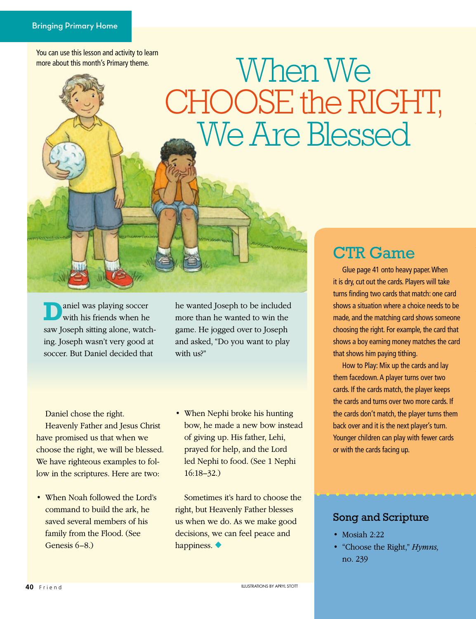You can use this lesson and activity to learn more about this month's Primary theme.

## When We CHOOSE the RIGHT, We Are Blessed

aniel was playing soccer with his friends when he saw Joseph sitting alone, watching. Joseph wasn't very good at soccer. But Daniel decided that

he wanted Joseph to be included more than he wanted to win the game. He jogged over to Joseph and asked, "Do you want to play with us?"

Daniel chose the right.

Heavenly Father and Jesus Christ have promised us that when we choose the right, we will be blessed. We have righteous examples to follow in the scriptures. Here are two:

- When Noah followed the Lord's command to build the ark, he saved several members of his family from the Flood. (See Genesis 6–8.)
- When Nephi broke his hunting bow, he made a new bow instead of giving up. His father, Lehi, prayed for help, and the Lord led Nephi to food. (See 1 Nephi 16:18–32.)

Sometimes it's hard to choose the right, but Heavenly Father blesses us when we do. As we make good decisions, we can feel peace and happiness. ◆

## CTR Game

Glue page 41 onto heavy paper. When it is dry, cut out the cards. Players will take turns finding two cards that match: one card shows a situation where a choice needs to be made, and the matching card shows someone choosing the right. For example, the card that shows a boy earning money matches the card that shows him paying tithing.

How to Play: Mix up the cards and lay them facedown. A player turns over two cards. If the cards match, the player keeps the cards and turns over two more cards. If the cards don't match, the player turns them back over and it is the next player's turn. Younger children can play with fewer cards or with the cards facing up.

## Song and Scripture

- Mosiah 2:22
- "Choose the Right," *Hymns,* no. 239

**ILLUSTRATIONS BY APRYL STOTT**